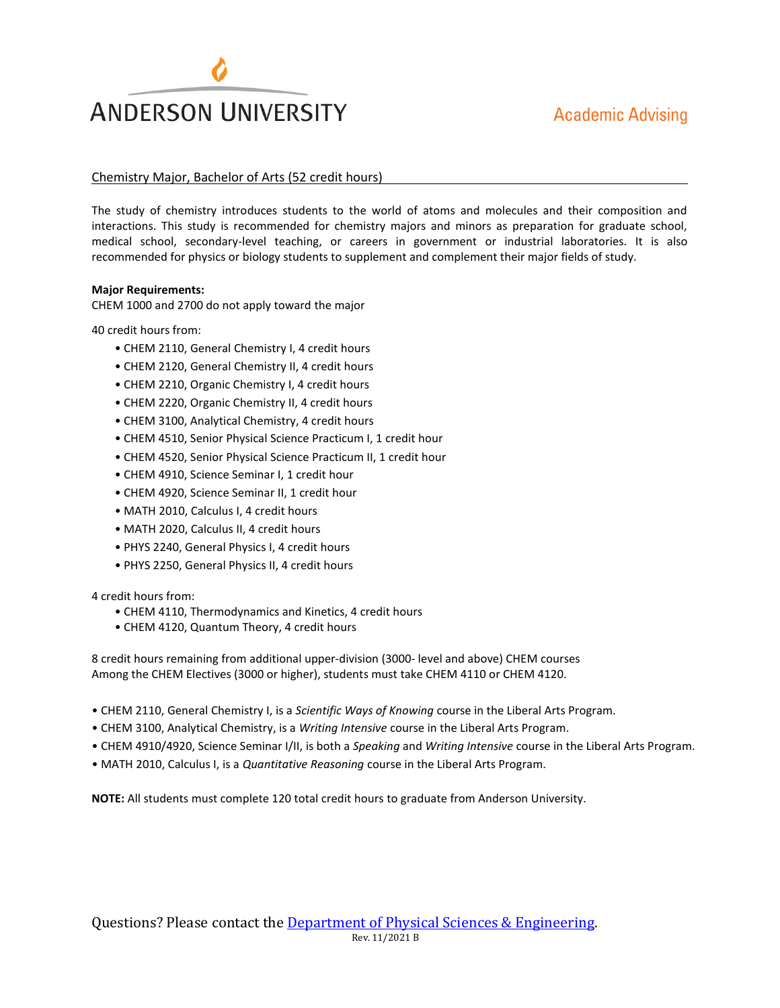# **ANDERSON UNIVERSITY**

#### Chemistry Major, Bachelor of Arts (52 credit hours)

The study of chemistry introduces students to the world of atoms and molecules and their composition and interactions. This study is recommended for chemistry majors and minors as preparation for graduate school, medical school, secondary-level teaching, or careers in government or industrial laboratories. It is also recommended for physics or biology students to supplement and complement their major fields of study.

#### **Major Requirements:**

CHEM 1000 and 2700 do not apply toward the major

40 credit hours from:

- CHEM 2110, General Chemistry I, 4 credit hours
- CHEM 2120, General Chemistry II, 4 credit hours
- CHEM 2210, Organic Chemistry I, 4 credit hours
- CHEM 2220, Organic Chemistry II, 4 credit hours
- CHEM 3100, Analytical Chemistry, 4 credit hours
- CHEM 4510, Senior Physical Science Practicum I, 1 credit hour
- CHEM 4520, Senior Physical Science Practicum II, 1 credit hour
- CHEM 4910, Science Seminar I, 1 credit hour
- CHEM 4920, Science Seminar II, 1 credit hour
- MATH 2010, Calculus I, 4 credit hours
- MATH 2020, Calculus II, 4 credit hours
- PHYS 2240, General Physics I, 4 credit hours
- PHYS 2250, General Physics II, 4 credit hours

4 credit hours from:

- CHEM 4110, Thermodynamics and Kinetics, 4 credit hours
- CHEM 4120, Quantum Theory, 4 credit hours

8 credit hours remaining from additional upper-division (3000- level and above) CHEM courses Among the CHEM Electives (3000 or higher), students must take CHEM 4110 or CHEM 4120.

- CHEM 2110, General Chemistry I, is a *Scientific Ways of Knowing* course in the Liberal Arts Program.
- CHEM 3100, Analytical Chemistry, is a *Writing Intensive* course in the Liberal Arts Program.
- CHEM 4910/4920, Science Seminar I/II, is both a *Speaking* and *Writing Intensive* course in the Liberal Arts Program.
- MATH 2010, Calculus I, is a *Quantitative Reasoning* course in the Liberal Arts Program.

**NOTE:** All students must complete 120 total credit hours to graduate from Anderson University.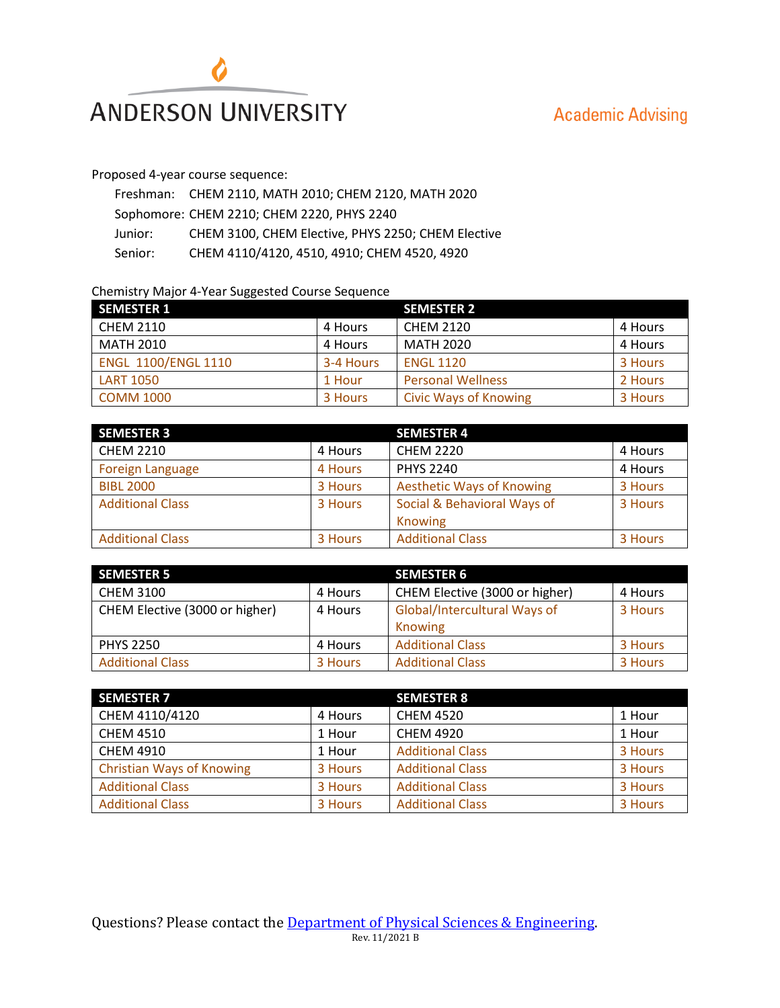

# **Academic Advising**

## Proposed 4-year course sequence:

|         | Freshman: CHEM 2110, MATH 2010; CHEM 2120, MATH 2020 |
|---------|------------------------------------------------------|
|         | Sophomore: CHEM 2210; CHEM 2220, PHYS 2240           |
| Junior: | CHEM 3100, CHEM Elective, PHYS 2250; CHEM Elective   |
| Senior: | CHEM 4110/4120, 4510, 4910; CHEM 4520, 4920          |

## Chemistry Major 4-Year Suggested Course Sequence

| <b>SEMESTER 1</b>          |           | <b>SEMESTER 2</b>            |         |
|----------------------------|-----------|------------------------------|---------|
| <b>CHEM 2110</b>           | 4 Hours   | <b>CHEM 2120</b>             | 4 Hours |
| MATH 2010                  | 4 Hours   | MATH 2020                    | 4 Hours |
| <b>ENGL 1100/ENGL 1110</b> | 3-4 Hours | <b>ENGL 1120</b>             | 3 Hours |
| <b>LART 1050</b>           | 1 Hour    | <b>Personal Wellness</b>     | 2 Hours |
| <b>COMM 1000</b>           | 3 Hours   | <b>Civic Ways of Knowing</b> | 3 Hours |

| <b>SEMESTER 3</b>       |         | <b>SEMESTER 4</b>                |         |
|-------------------------|---------|----------------------------------|---------|
| <b>CHEM 2210</b>        | 4 Hours | <b>CHEM 2220</b>                 | 4 Hours |
| <b>Foreign Language</b> | 4 Hours | <b>PHYS 2240</b>                 | 4 Hours |
| <b>BIBL 2000</b>        | 3 Hours | <b>Aesthetic Ways of Knowing</b> | 3 Hours |
| <b>Additional Class</b> | 3 Hours | Social & Behavioral Ways of      | 3 Hours |
|                         |         | Knowing                          |         |
| <b>Additional Class</b> | 3 Hours | <b>Additional Class</b>          | 3 Hours |

| <b>SEMESTER 5</b>              |         | <b>SEMESTER 6</b>              |         |
|--------------------------------|---------|--------------------------------|---------|
| <b>CHEM 3100</b>               | 4 Hours | CHEM Elective (3000 or higher) | 4 Hours |
| CHEM Elective (3000 or higher) | 4 Hours | Global/Intercultural Ways of   | 3 Hours |
|                                |         | Knowing                        |         |
| <b>PHYS 2250</b>               | 4 Hours | <b>Additional Class</b>        | 3 Hours |
| <b>Additional Class</b>        | 3 Hours | <b>Additional Class</b>        | 3 Hours |

| <b>SEMESTER 7</b>                |         | <b>SEMESTER 8</b>       |         |
|----------------------------------|---------|-------------------------|---------|
| CHEM 4110/4120                   | 4 Hours | <b>CHEM 4520</b>        | 1 Hour  |
| <b>CHEM 4510</b>                 | 1 Hour  | <b>CHEM 4920</b>        | 1 Hour  |
| <b>CHEM 4910</b>                 | 1 Hour  | <b>Additional Class</b> | 3 Hours |
| <b>Christian Ways of Knowing</b> | 3 Hours | <b>Additional Class</b> | 3 Hours |
| <b>Additional Class</b>          | 3 Hours | <b>Additional Class</b> | 3 Hours |
| <b>Additional Class</b>          | 3 Hours | <b>Additional Class</b> | 3 Hours |